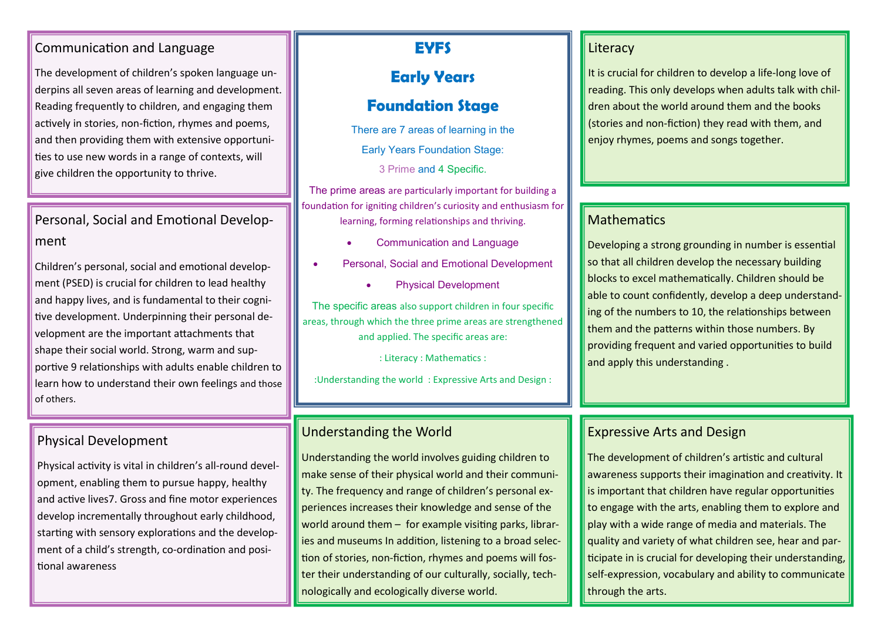#### Communication and Language

The development of children's spoken language underpins all seven areas of learning and development. Reading frequently to children, and engaging them actively in stories, non-fiction, rhymes and poems, and then providing them with extensive opportunities to use new words in a range of contexts, will give children the opportunity to thrive.

## Personal, Social and Emotional Development

Children's personal, social and emotional development (PSED) is crucial for children to lead healthy and happy lives, and is fundamental to their cognitive development. Underpinning their personal development are the important attachments that shape their social world. Strong, warm and supportive 9 relationships with adults enable children to learn how to understand their own feelings and those of others.

### Physical Development

Physical activity is vital in children's all-round development, enabling them to pursue happy, healthy and active lives7. Gross and fine motor experiences develop incrementally throughout early childhood, starting with sensory explorations and the development of a child's strength, co-ordination and positional awareness

## **EYFS**

## **Early Years**

## **Foundation Stage**

There are 7 areas of learning in the Early Years Foundation Stage:

3 Prime and 4 Specific.

The prime areas are particularly important for building a foundation for igniting children's curiosity and enthusiasm for learning, forming relationships and thriving.

- Communication and Language
- Personal, Social and Emotional Development
	- Physical Development

The specific areas also support children in four specific areas, through which the three prime areas are strengthened and applied. The specific areas are:

: Literacy : Mathematics :

:Understanding the world : Expressive Arts and Design :

### Understanding the World

Understanding the world involves guiding children to make sense of their physical world and their community. The frequency and range of children's personal experiences increases their knowledge and sense of the world around them – for example visiting parks, libraries and museums In addition, listening to a broad selection of stories, non-fiction, rhymes and poems will foster their understanding of our culturally, socially, technologically and ecologically diverse world.

#### Literacy

It is crucial for children to develop a life-long love of reading. This only develops when adults talk with children about the world around them and the books (stories and non-fiction) they read with them, and enjoy rhymes, poems and songs together.

#### **Mathematics**

Developing a strong grounding in number is essential so that all children develop the necessary building blocks to excel mathematically. Children should be able to count confidently, develop a deep understanding of the numbers to 10, the relationships between them and the patterns within those numbers. By providing frequent and varied opportunities to build and apply this understanding .

### Expressive Arts and Design

The development of children's artistic and cultural awareness supports their imagination and creativity. It is important that children have regular opportunities to engage with the arts, enabling them to explore and play with a wide range of media and materials. The quality and variety of what children see, hear and participate in is crucial for developing their understanding, self-expression, vocabulary and ability to communicate through the arts.